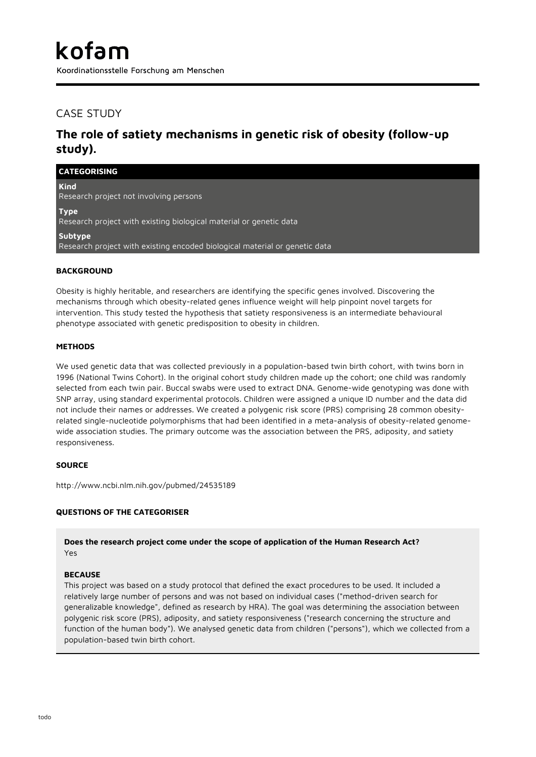Koordinationsstelle Forschung am Menschen

# CASE STUDY

# **The role of satiety mechanisms in genetic risk of obesity (follow-up study).**

| <b>CATEGORISING</b>                                                                   |
|---------------------------------------------------------------------------------------|
| <b>Kind</b><br>Research project not involving persons                                 |
| <b>Type</b><br>Research project with existing biological material or genetic data     |
| Subtype<br>Research project with existing encoded biological material or genetic data |
| <b>BACKGROUND</b>                                                                     |

Obesity is highly heritable, and researchers are identifying the specific genes involved. Discovering the mechanisms through which obesity-related genes influence weight will help pinpoint novel targets for intervention. This study tested the hypothesis that satiety responsiveness is an intermediate behavioural phenotype associated with genetic predisposition to obesity in children.

#### **METHODS**

We used genetic data that was collected previously in a population-based twin birth cohort, with twins born in 1996 (National Twins Cohort). In the original cohort study children made up the cohort; one child was randomly selected from each twin pair. Buccal swabs were used to extract DNA. Genome-wide genotyping was done with SNP array, using standard experimental protocols. Children were assigned a unique ID number and the data did not include their names or addresses. We created a polygenic risk score (PRS) comprising 28 common obesityrelated single-nucleotide polymorphisms that had been identified in a meta-analysis of obesity-related genomewide association studies. The primary outcome was the association between the PRS, adiposity, and satiety responsiveness.

### **SOURCE**

http://www.ncbi.nlm.nih.gov/pubmed/24535189

### **QUESTIONS OF THE CATEGORISER**

**Does the research project come under the scope of application of the Human Research Act?** Yes

#### **BECAUSE**

This project was based on a study protocol that defined the exact procedures to be used. It included a relatively large number of persons and was not based on individual cases ("method-driven search for generalizable knowledge", defined as research by HRA). The goal was determining the association between polygenic risk score (PRS), adiposity, and satiety responsiveness ("research concerning the structure and function of the human body"). We analysed genetic data from children ("persons"), which we collected from a population-based twin birth cohort.